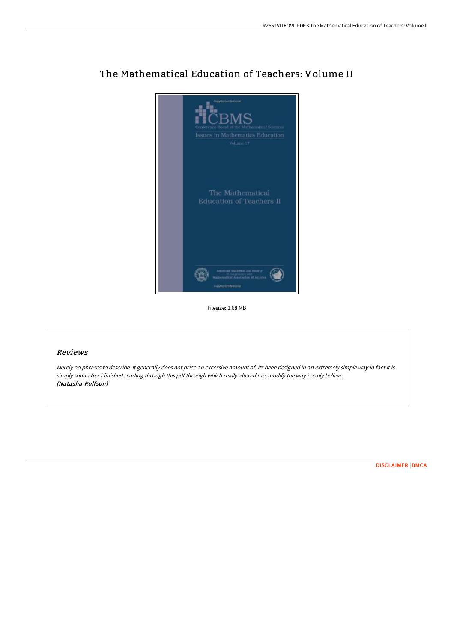

## The Mathematical Education of Teachers: Volume II

Filesize: 1.68 MB

## Reviews

Merely no phrases to describe. It generally does not price an excessive amount of. Its been designed in an extremely simple way in fact it is simply soon after i finished reading through this pdf through which really altered me, modify the way i really believe. (Natasha Rolfson)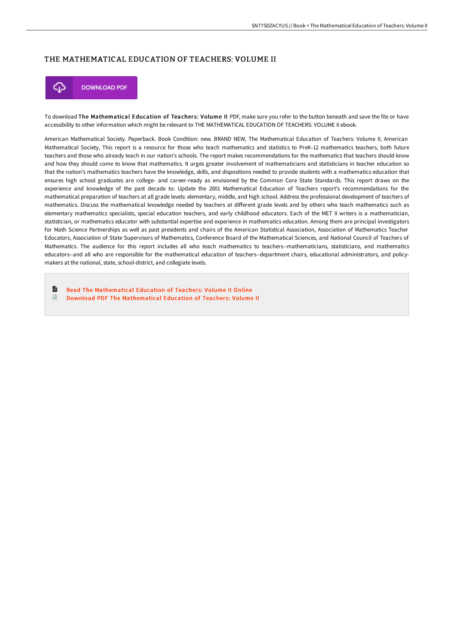## THE MATHEMATICAL EDUCATION OF TEACHERS: VOLUME II



To download The Mathematical Education of Teachers: Volume II PDF, make sure you refer to the button beneath and save the file or have accessibility to other information which might be relevant to THE MATHEMATICAL EDUCATION OF TEACHERS: VOLUME II ebook.

American Mathematical Society. Paperback. Book Condition: new. BRAND NEW, The Mathematical Education of Teachers: Volume II, American Mathematical Society, This report is a resource for those who teach mathematics and statistics to PreK-12 mathematics teachers, both future teachers and those who already teach in our nation's schools. The report makes recommendations for the mathematics that teachers should know and how they should come to know that mathematics. It urges greater involvement of mathematicians and statisticians in teacher education so that the nation's mathematics teachers have the knowledge, skills, and dispositions needed to provide students with a mathematics education that ensures high school graduates are college- and career-ready as envisioned by the Common Core State Standards. This report draws on the experience and knowledge of the past decade to: Update the 2001 Mathematical Education of Teachers report's recommendations for the mathematical preparation of teachers at all grade levels: elementary, middle, and high school. Address the professional development of teachers of mathematics. Discuss the mathematical knowledge needed by teachers at different grade levels and by others who teach mathematics such as elementary mathematics specialists, special education teachers, and early childhood educators. Each of the MET II writers is a mathematician, statistician, or mathematics educator with substantial expertise and experience in mathematics education. Among them are principal investigators for Math Science Partnerships as well as past presidents and chairs of the American Statistical Association, Association of Mathematics Teacher Educators, Association of State Supervisors of Mathematics, Conference Board of the Mathematical Sciences, and National Council of Teachers of Mathematics. The audience for this report includes all who teach mathematics to teachers--mathematicians, statisticians, and mathematics educators--and all who are responsible for the mathematical education of teachers--department chairs, educational administrators, and policymakers at the national, state, school-district, and collegiate levels.

 $\mathbb{R}$ Read The [Mathematical](http://techno-pub.tech/the-mathematical-education-of-teachers-volume-ii.html) Education of Teachers: Volume II Online  $\mathbb{R}$ Download PDF The [Mathematical](http://techno-pub.tech/the-mathematical-education-of-teachers-volume-ii.html) Education of Teachers: Volume II